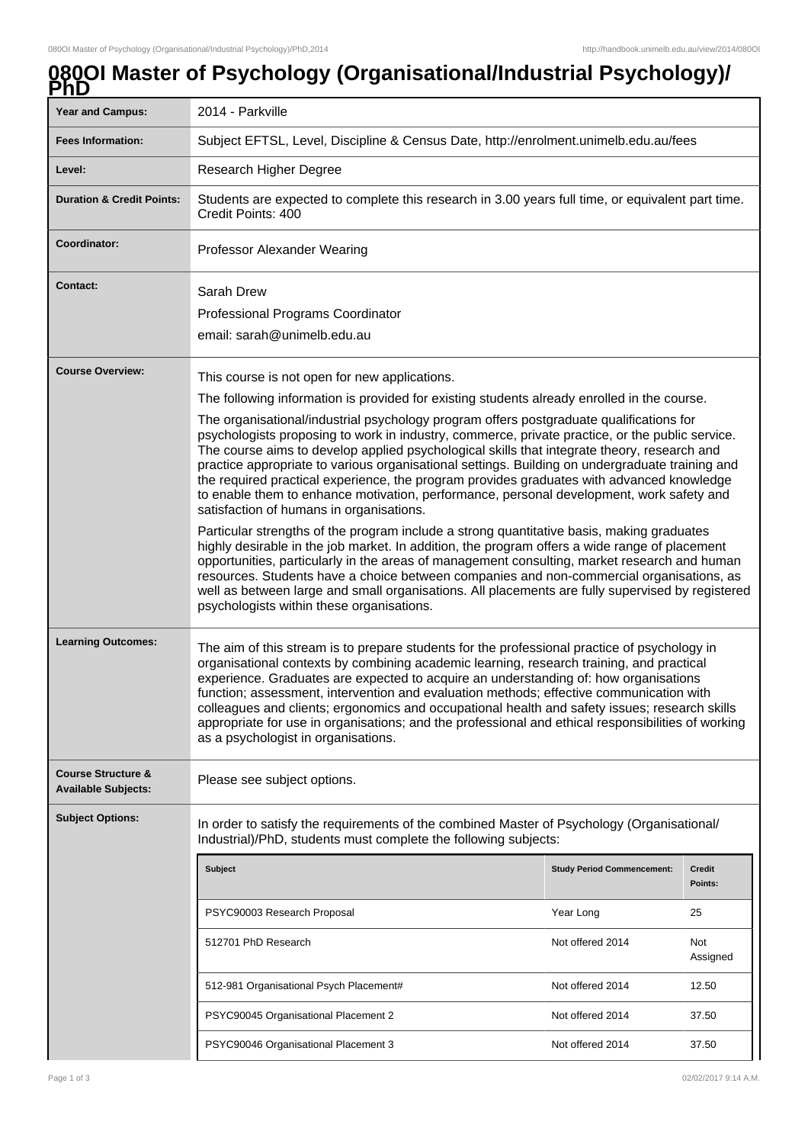## **080OI Master of Psychology (Organisational/Industrial Psychology)/**

| ै।।                                                         |                                                                                                                                                                                                                                                                                                                                                                                                                                                                                                                                                                                                                                                                                                                                                                                                                                                                                                                                                                                                                                                                                                                                                                                                                                                                                                                              |                                   |                   |
|-------------------------------------------------------------|------------------------------------------------------------------------------------------------------------------------------------------------------------------------------------------------------------------------------------------------------------------------------------------------------------------------------------------------------------------------------------------------------------------------------------------------------------------------------------------------------------------------------------------------------------------------------------------------------------------------------------------------------------------------------------------------------------------------------------------------------------------------------------------------------------------------------------------------------------------------------------------------------------------------------------------------------------------------------------------------------------------------------------------------------------------------------------------------------------------------------------------------------------------------------------------------------------------------------------------------------------------------------------------------------------------------------|-----------------------------------|-------------------|
| <b>Year and Campus:</b>                                     | 2014 - Parkville                                                                                                                                                                                                                                                                                                                                                                                                                                                                                                                                                                                                                                                                                                                                                                                                                                                                                                                                                                                                                                                                                                                                                                                                                                                                                                             |                                   |                   |
| <b>Fees Information:</b>                                    | Subject EFTSL, Level, Discipline & Census Date, http://enrolment.unimelb.edu.au/fees                                                                                                                                                                                                                                                                                                                                                                                                                                                                                                                                                                                                                                                                                                                                                                                                                                                                                                                                                                                                                                                                                                                                                                                                                                         |                                   |                   |
| Level:                                                      | Research Higher Degree                                                                                                                                                                                                                                                                                                                                                                                                                                                                                                                                                                                                                                                                                                                                                                                                                                                                                                                                                                                                                                                                                                                                                                                                                                                                                                       |                                   |                   |
| <b>Duration &amp; Credit Points:</b>                        | Students are expected to complete this research in 3.00 years full time, or equivalent part time.<br>Credit Points: 400                                                                                                                                                                                                                                                                                                                                                                                                                                                                                                                                                                                                                                                                                                                                                                                                                                                                                                                                                                                                                                                                                                                                                                                                      |                                   |                   |
| Coordinator:                                                | Professor Alexander Wearing                                                                                                                                                                                                                                                                                                                                                                                                                                                                                                                                                                                                                                                                                                                                                                                                                                                                                                                                                                                                                                                                                                                                                                                                                                                                                                  |                                   |                   |
| <b>Contact:</b>                                             | Sarah Drew<br>Professional Programs Coordinator<br>email: sarah@unimelb.edu.au                                                                                                                                                                                                                                                                                                                                                                                                                                                                                                                                                                                                                                                                                                                                                                                                                                                                                                                                                                                                                                                                                                                                                                                                                                               |                                   |                   |
| <b>Course Overview:</b>                                     | This course is not open for new applications.<br>The following information is provided for existing students already enrolled in the course.<br>The organisational/industrial psychology program offers postgraduate qualifications for<br>psychologists proposing to work in industry, commerce, private practice, or the public service.<br>The course aims to develop applied psychological skills that integrate theory, research and<br>practice appropriate to various organisational settings. Building on undergraduate training and<br>the required practical experience, the program provides graduates with advanced knowledge<br>to enable them to enhance motivation, performance, personal development, work safety and<br>satisfaction of humans in organisations.<br>Particular strengths of the program include a strong quantitative basis, making graduates<br>highly desirable in the job market. In addition, the program offers a wide range of placement<br>opportunities, particularly in the areas of management consulting, market research and human<br>resources. Students have a choice between companies and non-commercial organisations, as<br>well as between large and small organisations. All placements are fully supervised by registered<br>psychologists within these organisations. |                                   |                   |
| <b>Learning Outcomes:</b>                                   | The aim of this stream is to prepare students for the professional practice of psychology in<br>organisational contexts by combining academic learning, research training, and practical<br>experience. Graduates are expected to acquire an understanding of: how organisations<br>function; assessment, intervention and evaluation methods; effective communication with<br>colleagues and clients; ergonomics and occupational health and safety issues; research skills<br>appropriate for use in organisations; and the professional and ethical responsibilities of working<br>as a psychologist in organisations.                                                                                                                                                                                                                                                                                                                                                                                                                                                                                                                                                                                                                                                                                                    |                                   |                   |
| <b>Course Structure &amp;</b><br><b>Available Subjects:</b> | Please see subject options.                                                                                                                                                                                                                                                                                                                                                                                                                                                                                                                                                                                                                                                                                                                                                                                                                                                                                                                                                                                                                                                                                                                                                                                                                                                                                                  |                                   |                   |
| <b>Subject Options:</b>                                     | In order to satisfy the requirements of the combined Master of Psychology (Organisational/<br>Industrial)/PhD, students must complete the following subjects:                                                                                                                                                                                                                                                                                                                                                                                                                                                                                                                                                                                                                                                                                                                                                                                                                                                                                                                                                                                                                                                                                                                                                                |                                   |                   |
|                                                             | <b>Subject</b>                                                                                                                                                                                                                                                                                                                                                                                                                                                                                                                                                                                                                                                                                                                                                                                                                                                                                                                                                                                                                                                                                                                                                                                                                                                                                                               | <b>Study Period Commencement:</b> | Credit<br>Points: |
|                                                             | PSYC90003 Research Proposal                                                                                                                                                                                                                                                                                                                                                                                                                                                                                                                                                                                                                                                                                                                                                                                                                                                                                                                                                                                                                                                                                                                                                                                                                                                                                                  | Year Long                         | 25                |
|                                                             | 512701 PhD Research                                                                                                                                                                                                                                                                                                                                                                                                                                                                                                                                                                                                                                                                                                                                                                                                                                                                                                                                                                                                                                                                                                                                                                                                                                                                                                          | Not offered 2014                  | Not<br>Assigned   |
|                                                             | 512-981 Organisational Psych Placement#                                                                                                                                                                                                                                                                                                                                                                                                                                                                                                                                                                                                                                                                                                                                                                                                                                                                                                                                                                                                                                                                                                                                                                                                                                                                                      | Not offered 2014                  | 12.50             |
|                                                             | PSYC90045 Organisational Placement 2                                                                                                                                                                                                                                                                                                                                                                                                                                                                                                                                                                                                                                                                                                                                                                                                                                                                                                                                                                                                                                                                                                                                                                                                                                                                                         | Not offered 2014                  | 37.50             |
|                                                             | PSYC90046 Organisational Placement 3                                                                                                                                                                                                                                                                                                                                                                                                                                                                                                                                                                                                                                                                                                                                                                                                                                                                                                                                                                                                                                                                                                                                                                                                                                                                                         | Not offered 2014                  | 37.50             |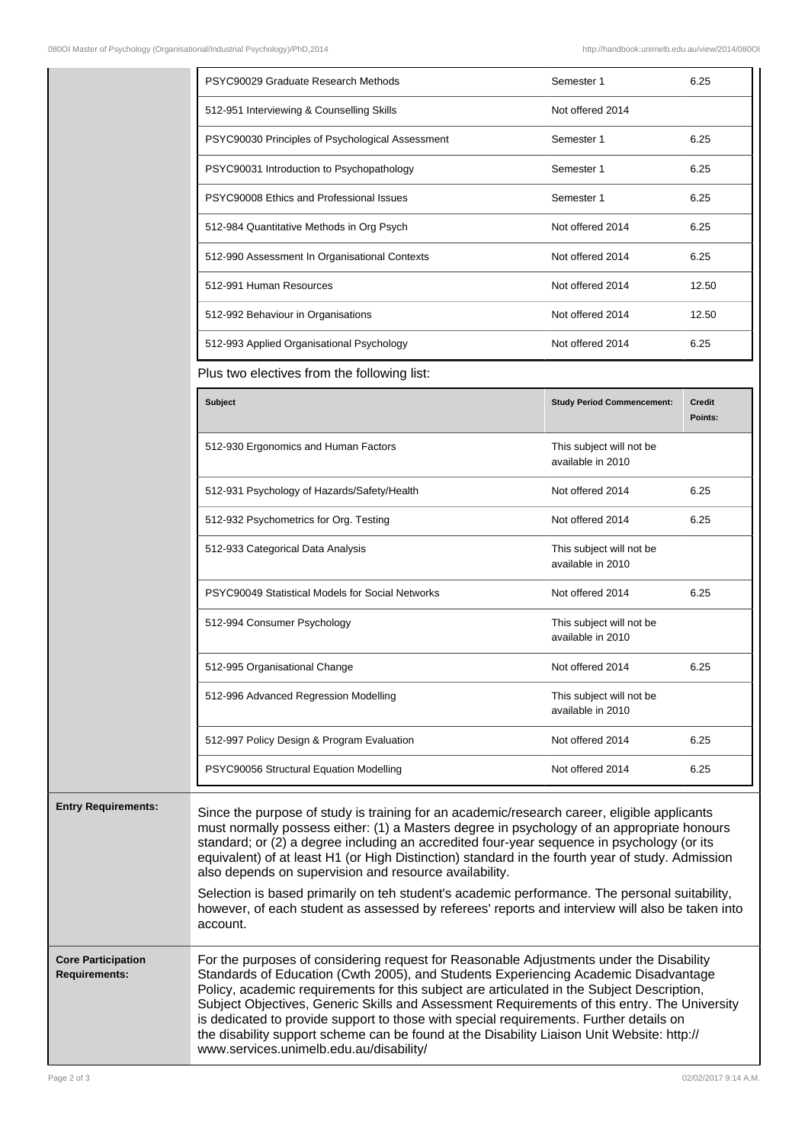|                                                   | PSYC90029 Graduate Research Methods                                                                                                                                                                                                                                                                                                                                                                                                                                                                                                                                                                                                                                   | Semester 1                                    | 6.25                     |
|---------------------------------------------------|-----------------------------------------------------------------------------------------------------------------------------------------------------------------------------------------------------------------------------------------------------------------------------------------------------------------------------------------------------------------------------------------------------------------------------------------------------------------------------------------------------------------------------------------------------------------------------------------------------------------------------------------------------------------------|-----------------------------------------------|--------------------------|
|                                                   | 512-951 Interviewing & Counselling Skills                                                                                                                                                                                                                                                                                                                                                                                                                                                                                                                                                                                                                             | Not offered 2014                              |                          |
|                                                   | PSYC90030 Principles of Psychological Assessment                                                                                                                                                                                                                                                                                                                                                                                                                                                                                                                                                                                                                      | Semester 1                                    | 6.25                     |
|                                                   | PSYC90031 Introduction to Psychopathology                                                                                                                                                                                                                                                                                                                                                                                                                                                                                                                                                                                                                             | Semester 1                                    | 6.25                     |
|                                                   | PSYC90008 Ethics and Professional Issues                                                                                                                                                                                                                                                                                                                                                                                                                                                                                                                                                                                                                              | Semester 1                                    | 6.25                     |
|                                                   | 512-984 Quantitative Methods in Org Psych                                                                                                                                                                                                                                                                                                                                                                                                                                                                                                                                                                                                                             | Not offered 2014                              | 6.25                     |
|                                                   | 512-990 Assessment In Organisational Contexts                                                                                                                                                                                                                                                                                                                                                                                                                                                                                                                                                                                                                         | Not offered 2014                              | 6.25                     |
|                                                   | 512-991 Human Resources                                                                                                                                                                                                                                                                                                                                                                                                                                                                                                                                                                                                                                               | Not offered 2014                              | 12.50                    |
|                                                   | 512-992 Behaviour in Organisations                                                                                                                                                                                                                                                                                                                                                                                                                                                                                                                                                                                                                                    | Not offered 2014                              | 12.50                    |
|                                                   | 512-993 Applied Organisational Psychology                                                                                                                                                                                                                                                                                                                                                                                                                                                                                                                                                                                                                             | Not offered 2014                              | 6.25                     |
|                                                   | Plus two electives from the following list:                                                                                                                                                                                                                                                                                                                                                                                                                                                                                                                                                                                                                           |                                               |                          |
|                                                   | Subject                                                                                                                                                                                                                                                                                                                                                                                                                                                                                                                                                                                                                                                               | <b>Study Period Commencement:</b>             | <b>Credit</b><br>Points: |
|                                                   | 512-930 Ergonomics and Human Factors                                                                                                                                                                                                                                                                                                                                                                                                                                                                                                                                                                                                                                  | This subject will not be<br>available in 2010 |                          |
|                                                   | 512-931 Psychology of Hazards/Safety/Health                                                                                                                                                                                                                                                                                                                                                                                                                                                                                                                                                                                                                           | Not offered 2014                              | 6.25                     |
|                                                   | 512-932 Psychometrics for Org. Testing                                                                                                                                                                                                                                                                                                                                                                                                                                                                                                                                                                                                                                | Not offered 2014                              | 6.25                     |
|                                                   | 512-933 Categorical Data Analysis                                                                                                                                                                                                                                                                                                                                                                                                                                                                                                                                                                                                                                     | This subject will not be<br>available in 2010 |                          |
|                                                   | PSYC90049 Statistical Models for Social Networks                                                                                                                                                                                                                                                                                                                                                                                                                                                                                                                                                                                                                      | Not offered 2014                              | 6.25                     |
|                                                   | 512-994 Consumer Psychology                                                                                                                                                                                                                                                                                                                                                                                                                                                                                                                                                                                                                                           | This subject will not be<br>available in 2010 |                          |
|                                                   | 512-995 Organisational Change                                                                                                                                                                                                                                                                                                                                                                                                                                                                                                                                                                                                                                         | Not offered 2014                              | 6.25                     |
|                                                   | 512-996 Advanced Regression Modelling                                                                                                                                                                                                                                                                                                                                                                                                                                                                                                                                                                                                                                 | This subject will not be<br>available in 2010 |                          |
|                                                   | 512-997 Policy Design & Program Evaluation                                                                                                                                                                                                                                                                                                                                                                                                                                                                                                                                                                                                                            | Not offered 2014                              | 6.25                     |
|                                                   | PSYC90056 Structural Equation Modelling                                                                                                                                                                                                                                                                                                                                                                                                                                                                                                                                                                                                                               | Not offered 2014                              | 6.25                     |
| <b>Entry Requirements:</b>                        | Since the purpose of study is training for an academic/research career, eligible applicants<br>must normally possess either: (1) a Masters degree in psychology of an appropriate honours<br>standard; or (2) a degree including an accredited four-year sequence in psychology (or its<br>equivalent) of at least H1 (or High Distinction) standard in the fourth year of study. Admission<br>also depends on supervision and resource availability.<br>Selection is based primarily on teh student's academic performance. The personal suitability,<br>however, of each student as assessed by referees' reports and interview will also be taken into<br>account. |                                               |                          |
| <b>Core Participation</b><br><b>Requirements:</b> | For the purposes of considering request for Reasonable Adjustments under the Disability<br>Standards of Education (Cwth 2005), and Students Experiencing Academic Disadvantage<br>Policy, academic requirements for this subject are articulated in the Subject Description,<br>Subject Objectives, Generic Skills and Assessment Requirements of this entry. The University<br>is dedicated to provide support to those with special requirements. Further details on                                                                                                                                                                                                |                                               |                          |

the disability support scheme can be found at the Disability Liaison Unit Website: http://

www.services.unimelb.edu.au/disability/